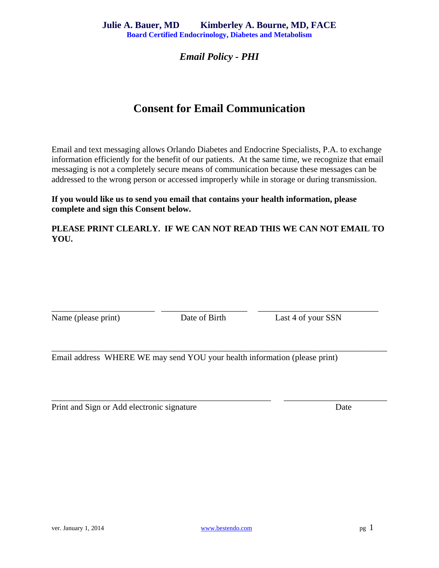## *Email Policy - PHI*

# **Consent for Email Communication**

Email and text messaging allows Orlando Diabetes and Endocrine Specialists, P.A. to exchange information efficiently for the benefit of our patients. At the same time, we recognize that email messaging is not a completely secure means of communication because these messages can be addressed to the wrong person or accessed improperly while in storage or during transmission.

#### **If you would like us to send you email that contains your health information, please complete and sign this Consent below.**

### **PLEASE PRINT CLEARLY. IF WE CAN NOT READ THIS WE CAN NOT EMAIL TO YOU.**

Name (please print) Date of Birth Last 4 of your SSN

\_\_\_\_\_\_\_\_\_\_\_\_\_\_\_\_\_\_\_\_\_\_\_\_ \_\_\_\_\_\_\_\_\_\_\_\_\_\_\_\_\_\_\_\_ \_\_\_\_\_\_\_\_\_\_\_\_\_\_\_\_\_\_\_\_\_\_\_\_\_\_\_\_

\_\_\_\_\_\_\_\_\_\_\_\_\_\_\_\_\_\_\_\_\_\_\_\_\_\_\_\_\_\_\_\_\_\_\_\_\_\_\_\_\_\_\_\_\_\_\_\_\_\_\_\_\_\_\_\_\_\_\_\_\_\_\_\_\_\_\_\_\_\_\_\_\_\_\_\_\_\_

\_\_\_\_\_\_\_\_\_\_\_\_\_\_\_\_\_\_\_\_\_\_\_\_\_\_\_\_\_\_\_\_\_\_\_\_\_\_\_\_\_\_\_\_\_\_\_\_\_\_\_ \_\_\_\_\_\_\_\_\_\_\_\_\_\_\_\_\_\_\_\_\_\_\_\_

Email address WHERE WE may send YOU your health information (please print)

| Print and Sign or Add electronic signature | Date |
|--------------------------------------------|------|
|                                            |      |